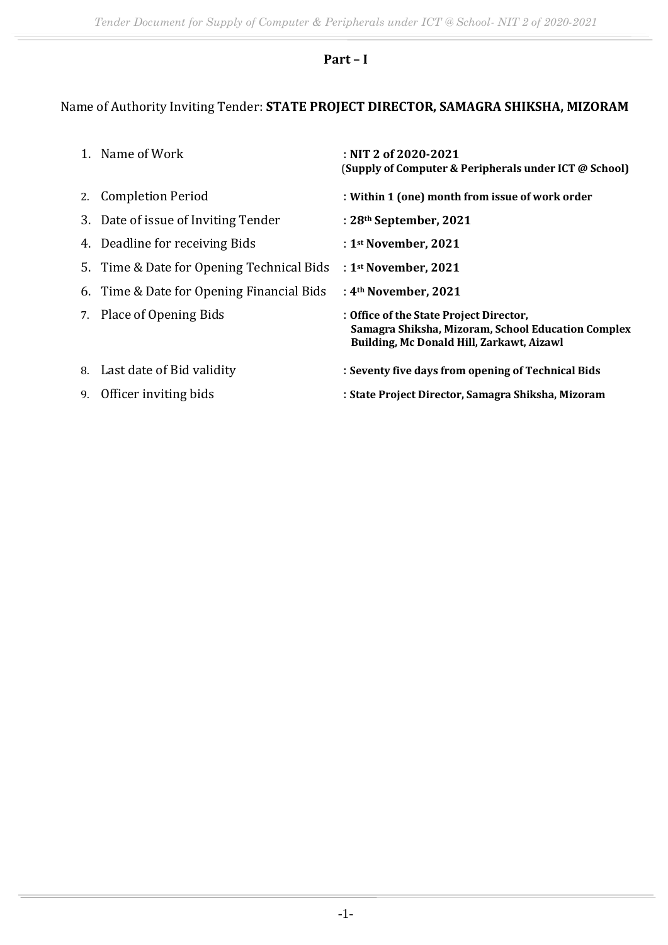# **Part – I**

# Name of Authority Inviting Tender: **STATE PROJECT DIRECTOR, SAMAGRA SHIKSHA, MIZORAM**

|    | 1. Name of Work                           | : NIT 2 of 2020-2021<br>(Supply of Computer & Peripherals under ICT @ School)                                                              |
|----|-------------------------------------------|--------------------------------------------------------------------------------------------------------------------------------------------|
|    | 2. Completion Period                      | : Within 1 (one) month from issue of work order                                                                                            |
|    | 3. Date of issue of Inviting Tender       | : 28th September, 2021                                                                                                                     |
|    | 4. Deadline for receiving Bids            | : $1st$ November, 2021                                                                                                                     |
|    | 5. Time & Date for Opening Technical Bids | : $1st$ November, 2021                                                                                                                     |
|    | 6. Time & Date for Opening Financial Bids | : $4th$ November, 2021                                                                                                                     |
|    | 7. Place of Opening Bids                  | : Office of the State Project Director,<br>Samagra Shiksha, Mizoram, School Education Complex<br>Building, Mc Donald Hill, Zarkawt, Aizawl |
|    | 8. Last date of Bid validity              | : Seventy five days from opening of Technical Bids                                                                                         |
| 9. | Officer inviting bids                     | : State Project Director, Samagra Shiksha, Mizoram                                                                                         |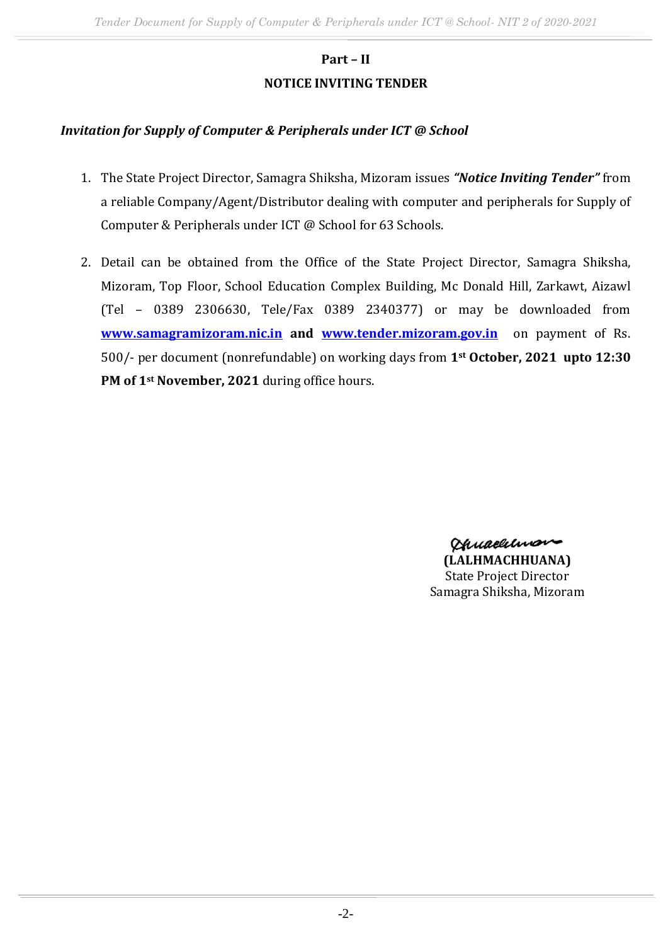# **Part – II NOTICE INVITING TENDER**

### *Invitation for Supply of Computer & Peripherals under ICT @ School*

- 1. The State Project Director, Samagra Shiksha, Mizoram issues *"Notice Inviting Tender"* from a reliable Company/Agent/Distributor dealing with computer and peripherals for Supply of Computer & Peripherals under ICT @ School for 63 Schools.
- 2. Detail can be obtained from the Office of the State Project Director, Samagra Shiksha, Mizoram, Top Floor, School Education Complex Building, Mc Donald Hill, Zarkawt, Aizawl (Tel – 0389 2306630, Tele/Fax 0389 2340377) or may be downloaded from **[www.samagramizoram.nic.in](http://www.samagramizoram.nic.in/) and [www.tender.mizoram.gov.in](http://www.tender.mizoram.gov.in/)** on payment of Rs. 500/- per document (nonrefundable) on working days from **1st October, 2021 upto 12:30 PM of 1st November, 2021** during office hours.

Chuaelilmon-**(LALHMACHHUANA)** State Project Director Samagra Shiksha, Mizoram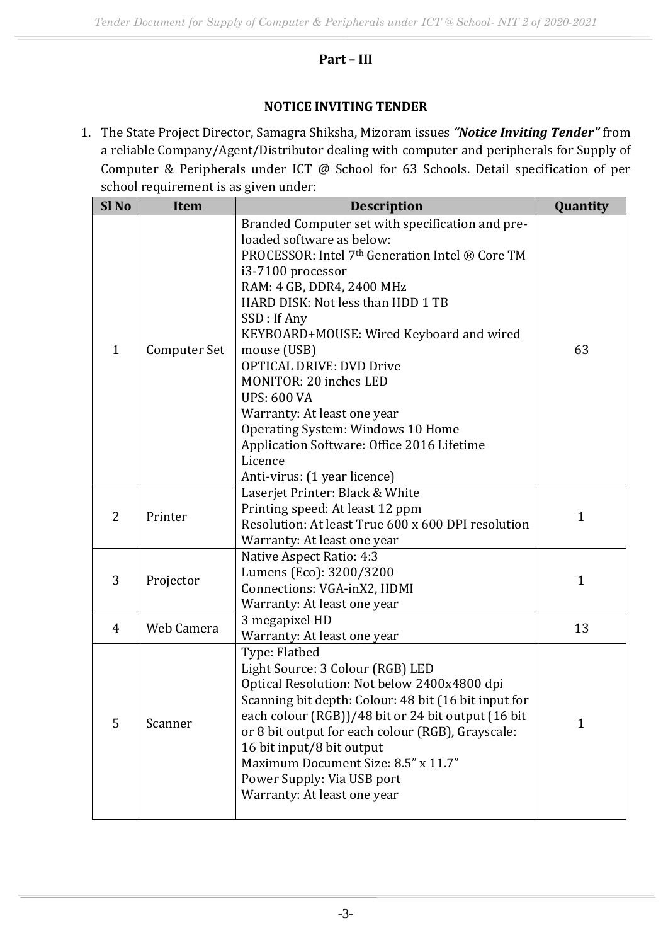### **Part – III**

#### **NOTICE INVITING TENDER**

1. The State Project Director, Samagra Shiksha, Mizoram issues *"Notice Inviting Tender"* from a reliable Company/Agent/Distributor dealing with computer and peripherals for Supply of Computer & Peripherals under ICT @ School for 63 Schools. Detail specification of per school requirement is as given under:

| Sl <sub>No</sub> | <b>Item</b>         | <b>Description</b>                                                                                                                                                                                                                                                                                                                                                                                                                                                                                                                                                   | Quantity     |
|------------------|---------------------|----------------------------------------------------------------------------------------------------------------------------------------------------------------------------------------------------------------------------------------------------------------------------------------------------------------------------------------------------------------------------------------------------------------------------------------------------------------------------------------------------------------------------------------------------------------------|--------------|
| $\mathbf{1}$     | <b>Computer Set</b> | Branded Computer set with specification and pre-<br>loaded software as below:<br>PROCESSOR: Intel 7 <sup>th</sup> Generation Intel ® Core TM<br>i3-7100 processor<br>RAM: 4 GB, DDR4, 2400 MHz<br>HARD DISK: Not less than HDD 1 TB<br>SSD: If Any<br>KEYBOARD+MOUSE: Wired Keyboard and wired<br>mouse (USB)<br><b>OPTICAL DRIVE: DVD Drive</b><br><b>MONITOR: 20 inches LED</b><br><b>UPS: 600 VA</b><br>Warranty: At least one year<br>Operating System: Windows 10 Home<br>Application Software: Office 2016 Lifetime<br>Licence<br>Anti-virus: (1 year licence) | 63           |
| 2                | Printer             | Laserjet Printer: Black & White<br>Printing speed: At least 12 ppm<br>Resolution: At least True 600 x 600 DPI resolution<br>Warranty: At least one year                                                                                                                                                                                                                                                                                                                                                                                                              | 1            |
| 3                | Projector           | Native Aspect Ratio: 4:3<br>Lumens (Eco): 3200/3200<br>Connections: VGA-inX2, HDMI<br>Warranty: At least one year                                                                                                                                                                                                                                                                                                                                                                                                                                                    | $\mathbf{1}$ |
| 4                | Web Camera          | 3 megapixel HD<br>Warranty: At least one year                                                                                                                                                                                                                                                                                                                                                                                                                                                                                                                        | 13           |
| 5                | Scanner             | Type: Flatbed<br>Light Source: 3 Colour (RGB) LED<br>Optical Resolution: Not below 2400x4800 dpi<br>Scanning bit depth: Colour: 48 bit (16 bit input for<br>each colour (RGB))/48 bit or 24 bit output (16 bit<br>or 8 bit output for each colour (RGB), Grayscale:<br>16 bit input/8 bit output<br>Maximum Document Size: 8.5" x 11.7"<br>Power Supply: Via USB port<br>Warranty: At least one year                                                                                                                                                                 | $\mathbf{1}$ |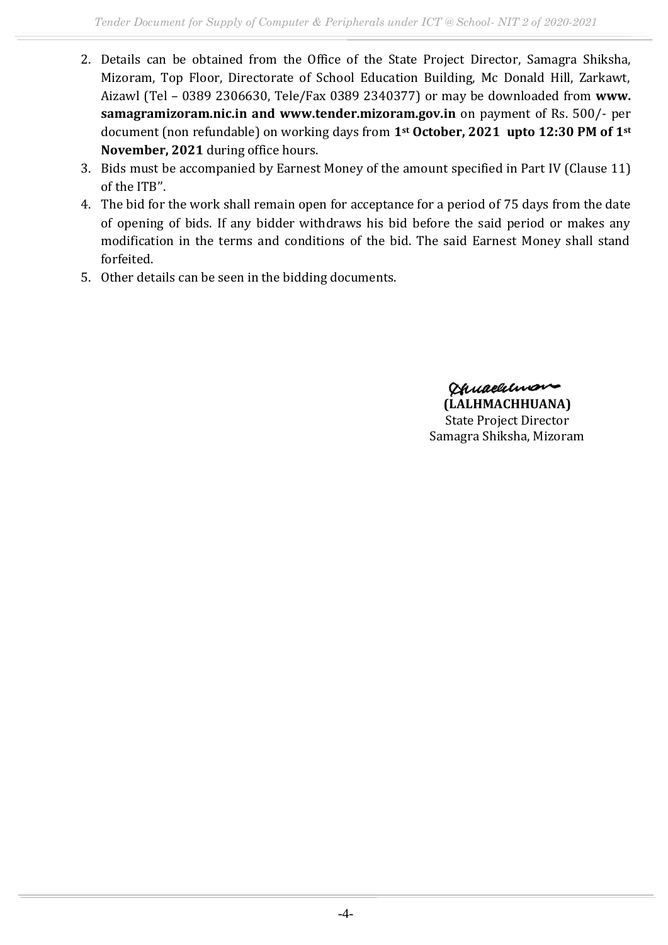- 2. Details can be obtained from the Office of the State Project Director, Samagra Shiksha, Mizoram, Top Floor, Directorate of School Education Building, Mc Donald Hill, Zarkawt, Aizawl (Tel – 0389 2306630, Tele/Fax 0389 2340377) or may be downloaded from **www. samagramizoram.nic.in and www.tender.mizoram.gov.in** on payment of Rs. 500/- per document (non refundable) on working days from **1st October, 2021 upto 12:30 PM of 1st November, 2021** during office hours.
- 3. Bids must be accompanied by Earnest Money of the amount specified in Part IV (Clause 11) of the ITB''.
- 4. The bid for the work shall remain open for acceptance for a period of 75 days from the date of opening of bids. If any bidder withdraws his bid before the said period or makes any modification in the terms and conditions of the bid. The said Earnest Money shall stand forfeited.
- 5. Other details can be seen in the bidding documents.

Ohuaelunon **(LALHMACHHUANA)** State Project Director Samagra Shiksha, Mizoram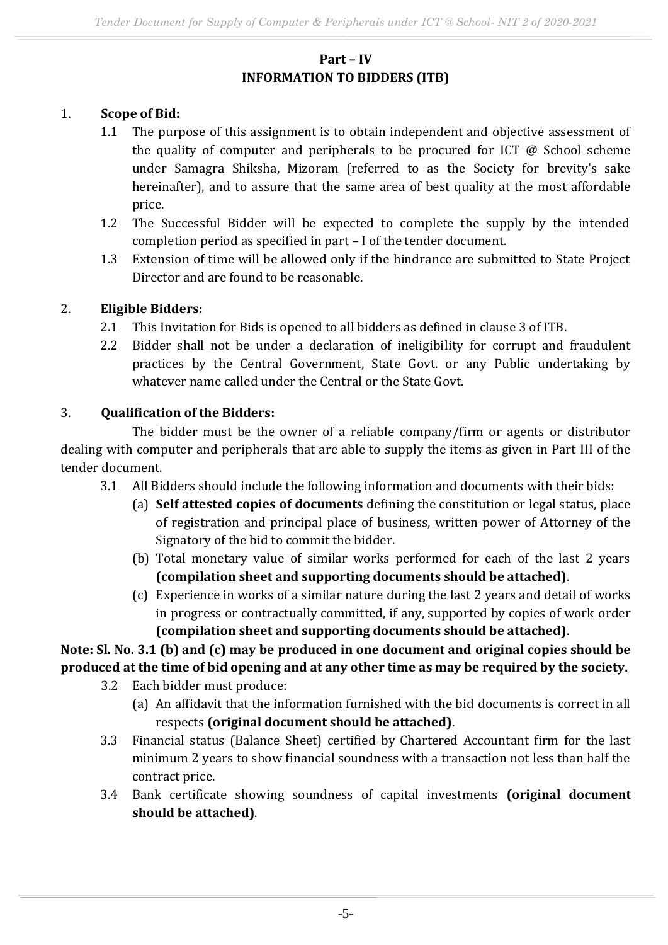### **Part – IV INFORMATION TO BIDDERS (ITB)**

### 1. **Scope of Bid:**

- 1.1 The purpose of this assignment is to obtain independent and objective assessment of the quality of computer and peripherals to be procured for ICT @ School scheme under Samagra Shiksha, Mizoram (referred to as the Society for brevity's sake hereinafter), and to assure that the same area of best quality at the most affordable price.
- 1.2 The Successful Bidder will be expected to complete the supply by the intended completion period as specified in part – I of the tender document.
- 1.3 Extension of time will be allowed only if the hindrance are submitted to State Project Director and are found to be reasonable.

### 2. **Eligible Bidders:**

- 2.1 This Invitation for Bids is opened to all bidders as defined in clause 3 of ITB.
- 2.2 Bidder shall not be under a declaration of ineligibility for corrupt and fraudulent practices by the Central Government, State Govt. or any Public undertaking by whatever name called under the Central or the State Govt.

### 3. **Qualification of the Bidders:**

The bidder must be the owner of a reliable company/firm or agents or distributor dealing with computer and peripherals that are able to supply the items as given in Part III of the tender document.

- 3.1 All Bidders should include the following information and documents with their bids:
	- (a) **Self attested copies of documents** defining the constitution or legal status, place of registration and principal place of business, written power of Attorney of the Signatory of the bid to commit the bidder.
	- (b) Total monetary value of similar works performed for each of the last 2 years **(compilation sheet and supporting documents should be attached)**.
	- (c) Experience in works of a similar nature during the last 2 years and detail of works in progress or contractually committed, if any, supported by copies of work order **(compilation sheet and supporting documents should be attached)**.

# **Note: Sl. No. 3.1 (b) and (c) may be produced in one document and original copies should be produced at the time of bid opening and at any other time as may be required by the society.**

- 3.2 Each bidder must produce:
	- (a) An affidavit that the information furnished with the bid documents is correct in all respects **(original document should be attached)**.
- 3.3 Financial status (Balance Sheet) certified by Chartered Accountant firm for the last minimum 2 years to show financial soundness with a transaction not less than half the contract price.
- 3.4 Bank certificate showing soundness of capital investments **(original document should be attached)**.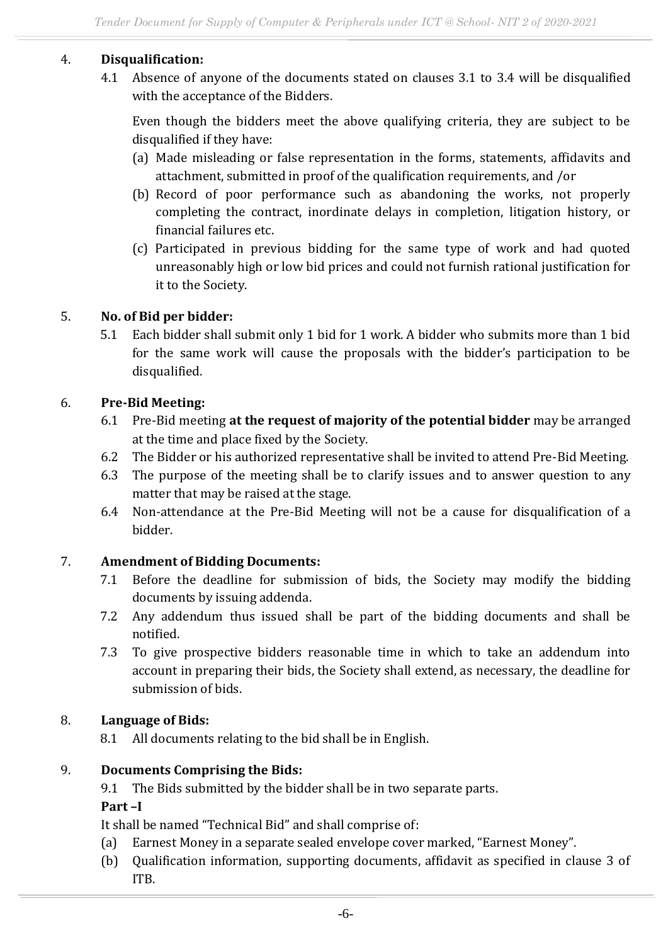### 4. **Disqualification:**

4.1 Absence of anyone of the documents stated on clauses 3.1 to 3.4 will be disqualified with the acceptance of the Bidders.

Even though the bidders meet the above qualifying criteria, they are subject to be disqualified if they have:

- (a) Made misleading or false representation in the forms, statements, affidavits and attachment, submitted in proof of the qualification requirements, and /or
- (b) Record of poor performance such as abandoning the works, not properly completing the contract, inordinate delays in completion, litigation history, or financial failures etc.
- (c) Participated in previous bidding for the same type of work and had quoted unreasonably high or low bid prices and could not furnish rational justification for it to the Society.

### 5. **No. of Bid per bidder:**

5.1 Each bidder shall submit only 1 bid for 1 work. A bidder who submits more than 1 bid for the same work will cause the proposals with the bidder's participation to be disqualified.

### 6. **Pre-Bid Meeting:**

- 6.1 Pre-Bid meeting **at the request of majority of the potential bidder** may be arranged at the time and place fixed by the Society.
- 6.2 The Bidder or his authorized representative shall be invited to attend Pre-Bid Meeting.
- 6.3 The purpose of the meeting shall be to clarify issues and to answer question to any matter that may be raised at the stage.
- 6.4 Non-attendance at the Pre-Bid Meeting will not be a cause for disqualification of a bidder.

### 7. **Amendment of Bidding Documents:**

- 7.1 Before the deadline for submission of bids, the Society may modify the bidding documents by issuing addenda.
- 7.2 Any addendum thus issued shall be part of the bidding documents and shall be notified.
- 7.3 To give prospective bidders reasonable time in which to take an addendum into account in preparing their bids, the Society shall extend, as necessary, the deadline for submission of bids.

### 8. **Language of Bids:**

8.1 All documents relating to the bid shall be in English.

### 9. **Documents Comprising the Bids:**

9.1 The Bids submitted by the bidder shall be in two separate parts.

### **Part –I**

It shall be named "Technical Bid" and shall comprise of:

- (a) Earnest Money in a separate sealed envelope cover marked, "Earnest Money".
- (b) Qualification information, supporting documents, affidavit as specified in clause 3 of ITB.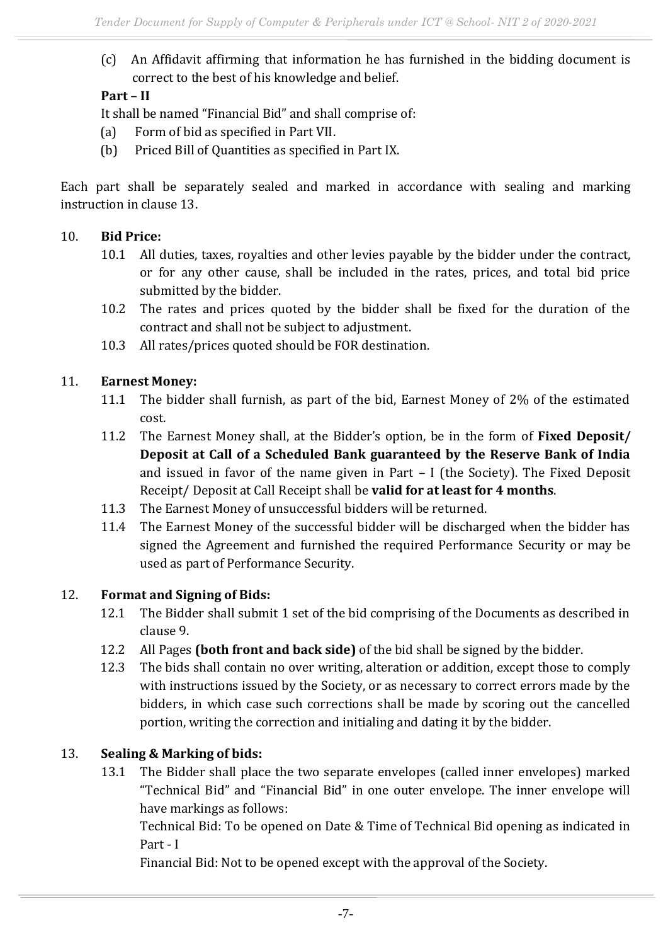(c) An Affidavit affirming that information he has furnished in the bidding document is correct to the best of his knowledge and belief.

# **Part – II**

It shall be named "Financial Bid" and shall comprise of:

- (a) Form of bid as specified in Part VII.
- (b) Priced Bill of Quantities as specified in Part IX.

Each part shall be separately sealed and marked in accordance with sealing and marking instruction in clause 13.

### 10. **Bid Price:**

- 10.1 All duties, taxes, royalties and other levies payable by the bidder under the contract, or for any other cause, shall be included in the rates, prices, and total bid price submitted by the bidder.
- 10.2 The rates and prices quoted by the bidder shall be fixed for the duration of the contract and shall not be subject to adjustment.
- 10.3 All rates/prices quoted should be FOR destination.

# 11. **Earnest Money:**

- 11.1 The bidder shall furnish, as part of the bid, Earnest Money of 2% of the estimated cost.
- 11.2 The Earnest Money shall, at the Bidder's option, be in the form of **Fixed Deposit/ Deposit at Call of a Scheduled Bank guaranteed by the Reserve Bank of India** and issued in favor of the name given in Part – I (the Society). The Fixed Deposit Receipt/ Deposit at Call Receipt shall be **valid for at least for 4 months**.
- 11.3 The Earnest Money of unsuccessful bidders will be returned.
- 11.4 The Earnest Money of the successful bidder will be discharged when the bidder has signed the Agreement and furnished the required Performance Security or may be used as part of Performance Security.

# 12. **Format and Signing of Bids:**

- 12.1 The Bidder shall submit 1 set of the bid comprising of the Documents as described in clause 9.
- 12.2 All Pages **(both front and back side)** of the bid shall be signed by the bidder.
- 12.3 The bids shall contain no over writing, alteration or addition, except those to comply with instructions issued by the Society, or as necessary to correct errors made by the bidders, in which case such corrections shall be made by scoring out the cancelled portion, writing the correction and initialing and dating it by the bidder.

# 13. **Sealing & Marking of bids:**

13.1 The Bidder shall place the two separate envelopes (called inner envelopes) marked "Technical Bid" and "Financial Bid" in one outer envelope. The inner envelope will have markings as follows:

Technical Bid: To be opened on Date & Time of Technical Bid opening as indicated in Part - I

Financial Bid: Not to be opened except with the approval of the Society.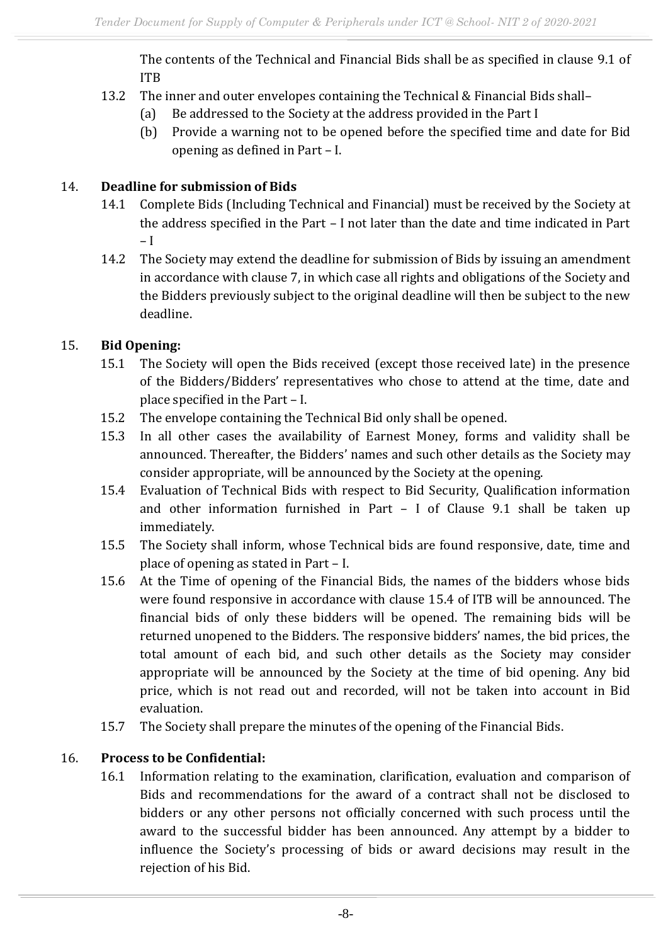The contents of the Technical and Financial Bids shall be as specified in clause 9.1 of ITB

- 13.2 The inner and outer envelopes containing the Technical & Financial Bids shall–
	- (a) Be addressed to the Society at the address provided in the Part I
	- (b) Provide a warning not to be opened before the specified time and date for Bid opening as defined in Part – I.

### 14. **Deadline for submission of Bids**

- 14.1 Complete Bids (Including Technical and Financial) must be received by the Society at the address specified in the Part – I not later than the date and time indicated in Part – I
- 14.2 The Society may extend the deadline for submission of Bids by issuing an amendment in accordance with clause 7, in which case all rights and obligations of the Society and the Bidders previously subject to the original deadline will then be subject to the new deadline.

### 15. **Bid Opening:**

- 15.1 The Society will open the Bids received (except those received late) in the presence of the Bidders/Bidders' representatives who chose to attend at the time, date and place specified in the Part – I.
- 15.2 The envelope containing the Technical Bid only shall be opened.
- 15.3 In all other cases the availability of Earnest Money, forms and validity shall be announced. Thereafter, the Bidders' names and such other details as the Society may consider appropriate, will be announced by the Society at the opening.
- 15.4 Evaluation of Technical Bids with respect to Bid Security, Qualification information and other information furnished in Part – I of Clause 9.1 shall be taken up immediately.
- 15.5 The Society shall inform, whose Technical bids are found responsive, date, time and place of opening as stated in Part – I.
- 15.6 At the Time of opening of the Financial Bids, the names of the bidders whose bids were found responsive in accordance with clause 15.4 of ITB will be announced. The financial bids of only these bidders will be opened. The remaining bids will be returned unopened to the Bidders. The responsive bidders' names, the bid prices, the total amount of each bid, and such other details as the Society may consider appropriate will be announced by the Society at the time of bid opening. Any bid price, which is not read out and recorded, will not be taken into account in Bid evaluation.
- 15.7 The Society shall prepare the minutes of the opening of the Financial Bids.

# 16. **Process to be Confidential:**

16.1 Information relating to the examination, clarification, evaluation and comparison of Bids and recommendations for the award of a contract shall not be disclosed to bidders or any other persons not officially concerned with such process until the award to the successful bidder has been announced. Any attempt by a bidder to influence the Society's processing of bids or award decisions may result in the rejection of his Bid.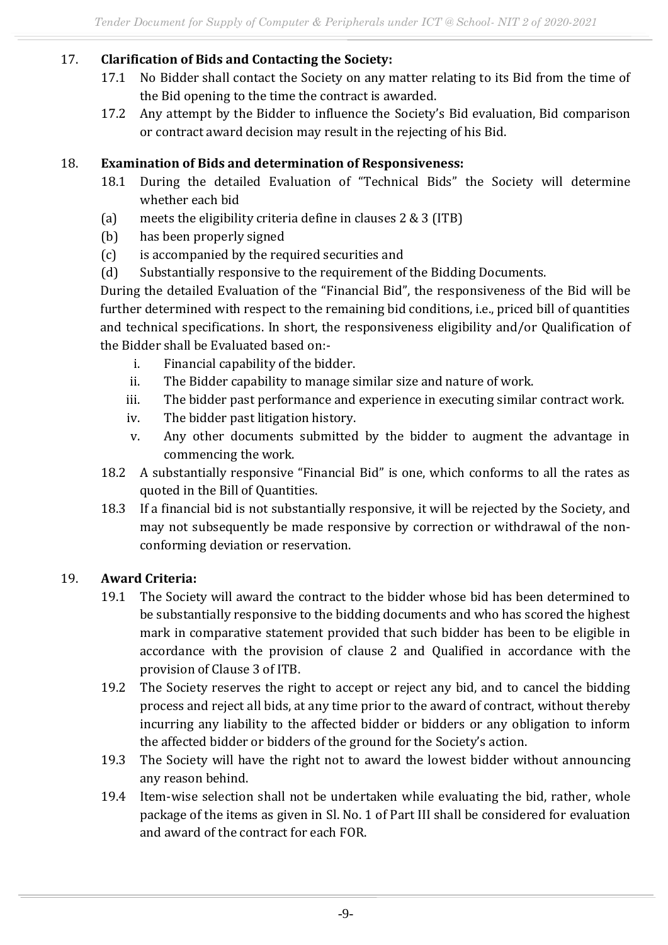### 17. **Clarification of Bids and Contacting the Society:**

- 17.1 No Bidder shall contact the Society on any matter relating to its Bid from the time of the Bid opening to the time the contract is awarded.
- 17.2 Any attempt by the Bidder to influence the Society's Bid evaluation, Bid comparison or contract award decision may result in the rejecting of his Bid.

### 18. **Examination of Bids and determination of Responsiveness:**

- 18.1 During the detailed Evaluation of "Technical Bids" the Society will determine whether each bid
- (a) meets the eligibility criteria define in clauses 2 & 3 (ITB)
- (b) has been properly signed
- (c) is accompanied by the required securities and
- (d) Substantially responsive to the requirement of the Bidding Documents.

During the detailed Evaluation of the "Financial Bid", the responsiveness of the Bid will be further determined with respect to the remaining bid conditions, i.e., priced bill of quantities and technical specifications. In short, the responsiveness eligibility and/or Qualification of the Bidder shall be Evaluated based on:-

- i. Financial capability of the bidder.
- ii. The Bidder capability to manage similar size and nature of work.
- iii. The bidder past performance and experience in executing similar contract work.
- iv. The bidder past litigation history.
- v. Any other documents submitted by the bidder to augment the advantage in commencing the work.
- 18.2 A substantially responsive "Financial Bid" is one, which conforms to all the rates as quoted in the Bill of Quantities.
- 18.3 If a financial bid is not substantially responsive, it will be rejected by the Society, and may not subsequently be made responsive by correction or withdrawal of the nonconforming deviation or reservation.

### 19. **Award Criteria:**

- 19.1 The Society will award the contract to the bidder whose bid has been determined to be substantially responsive to the bidding documents and who has scored the highest mark in comparative statement provided that such bidder has been to be eligible in accordance with the provision of clause 2 and Qualified in accordance with the provision of Clause 3 of ITB.
- 19.2 The Society reserves the right to accept or reject any bid, and to cancel the bidding process and reject all bids, at any time prior to the award of contract, without thereby incurring any liability to the affected bidder or bidders or any obligation to inform the affected bidder or bidders of the ground for the Society's action.
- 19.3 The Society will have the right not to award the lowest bidder without announcing any reason behind.
- 19.4 Item-wise selection shall not be undertaken while evaluating the bid, rather, whole package of the items as given in Sl. No. 1 of Part III shall be considered for evaluation and award of the contract for each FOR.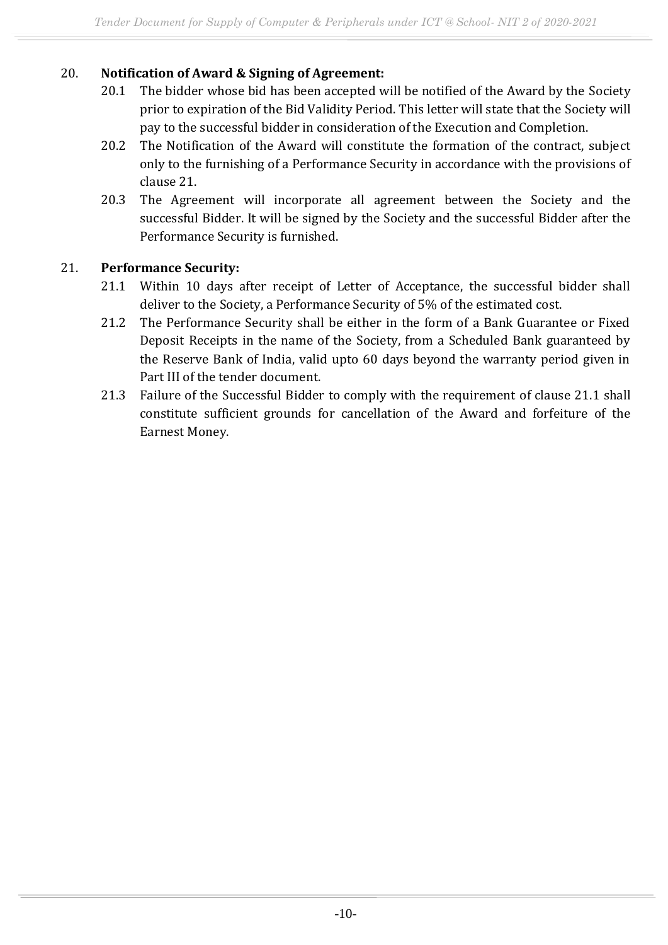### 20. **Notification of Award & Signing of Agreement:**

- 20.1 The bidder whose bid has been accepted will be notified of the Award by the Society prior to expiration of the Bid Validity Period. This letter will state that the Society will pay to the successful bidder in consideration of the Execution and Completion.
- 20.2 The Notification of the Award will constitute the formation of the contract, subject only to the furnishing of a Performance Security in accordance with the provisions of clause 21.
- 20.3 The Agreement will incorporate all agreement between the Society and the successful Bidder. It will be signed by the Society and the successful Bidder after the Performance Security is furnished.

### 21. **Performance Security:**

- 21.1 Within 10 days after receipt of Letter of Acceptance, the successful bidder shall deliver to the Society, a Performance Security of 5% of the estimated cost.
- 21.2 The Performance Security shall be either in the form of a Bank Guarantee or Fixed Deposit Receipts in the name of the Society, from a Scheduled Bank guaranteed by the Reserve Bank of India, valid upto 60 days beyond the warranty period given in Part III of the tender document.
- 21.3 Failure of the Successful Bidder to comply with the requirement of clause 21.1 shall constitute sufficient grounds for cancellation of the Award and forfeiture of the Earnest Money.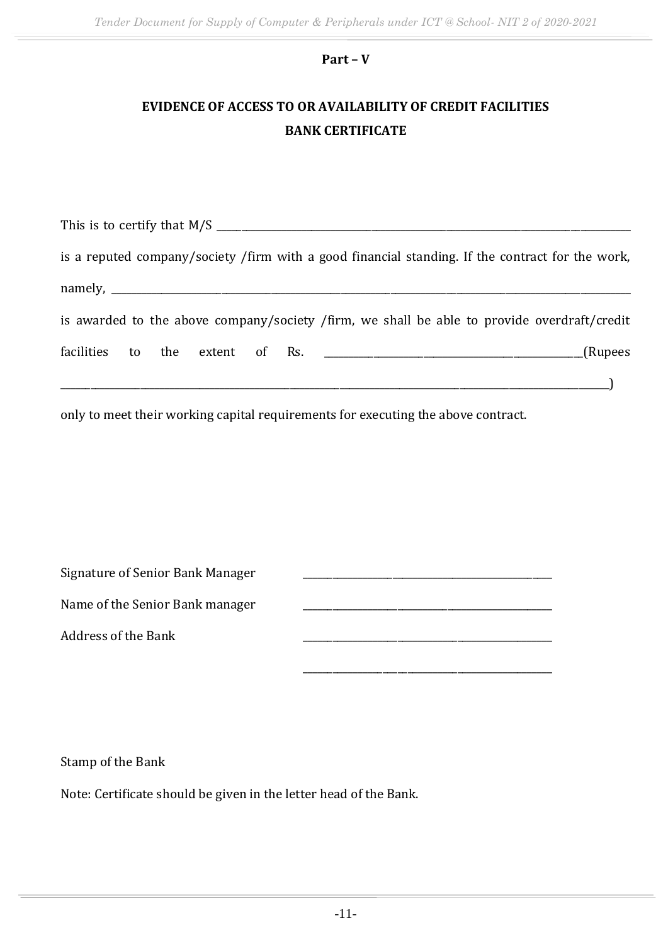### **Part – V**

# **EVIDENCE OF ACCESS TO OR AVAILABILITY OF CREDIT FACILITIES BANK CERTIFICATE**

|                            |  |  | This is to certify that M/S                                                                      |
|----------------------------|--|--|--------------------------------------------------------------------------------------------------|
|                            |  |  | is a reputed company/society /firm with a good financial standing. If the contract for the work, |
| $namely, \_\_\_\_\_\_\_\_$ |  |  |                                                                                                  |
|                            |  |  | is awarded to the above company/society /firm, we shall be able to provide overdraft/credit      |
|                            |  |  | (Rupees                                                                                          |
|                            |  |  |                                                                                                  |

only to meet their working capital requirements for executing the above contract.

| Signature of Senior Bank Manager |  |
|----------------------------------|--|
|                                  |  |

Name of the Senior Bank manager

Address of the Bank \_\_\_\_\_\_\_\_\_\_\_\_\_\_\_\_\_\_\_\_\_\_\_\_\_\_\_\_\_\_\_\_\_\_\_\_\_\_\_\_\_\_\_\_\_\_\_\_\_\_

Stamp of the Bank

Note: Certificate should be given in the letter head of the Bank.

\_\_\_\_\_\_\_\_\_\_\_\_\_\_\_\_\_\_\_\_\_\_\_\_\_\_\_\_\_\_\_\_\_\_\_\_\_\_\_\_\_\_\_\_\_\_\_\_\_\_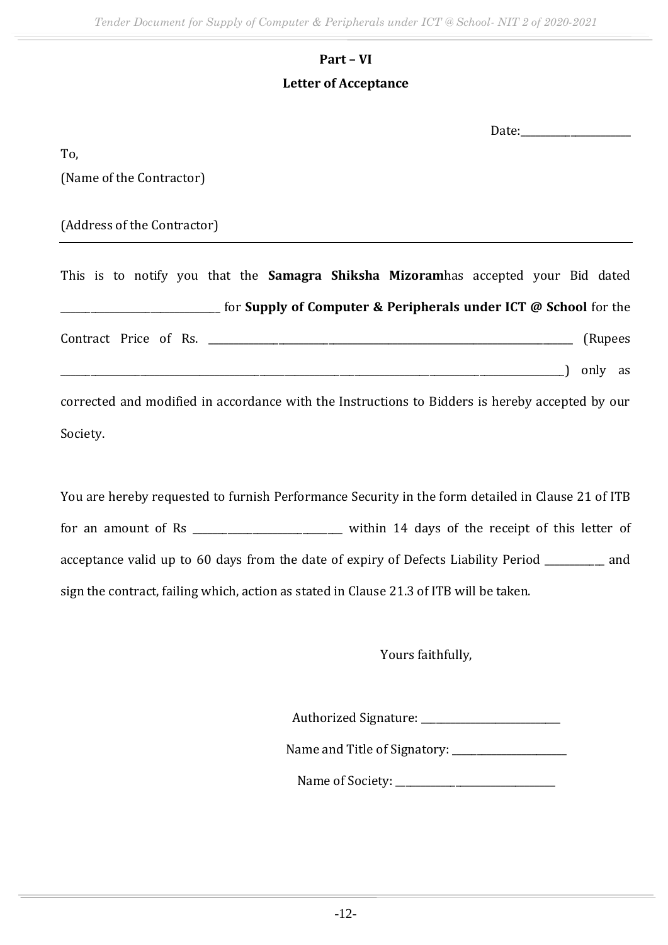# **Part – VI**

### **Letter of Acceptance**

Date:

To,

(Name of the Contractor)

(Address of the Contractor)

This is to notify you that the **Samagra Shiksha Mizoram**has accepted your Bid dated \_\_\_\_\_\_\_\_\_\_\_\_\_\_\_\_\_\_\_\_\_\_\_\_\_\_\_\_\_\_\_\_ for **Supply of Computer & Peripherals under ICT @ School** for the Contract Price of Rs. 2008 (Rupees \_\_\_\_\_\_\_\_\_\_\_\_\_\_\_\_\_\_\_\_\_\_\_\_\_\_\_\_\_\_\_\_\_\_\_\_\_\_\_\_\_\_\_\_\_\_\_\_\_\_\_\_\_\_\_\_\_\_\_\_\_\_\_\_\_\_\_\_\_\_\_\_\_\_\_\_\_\_\_\_\_\_\_\_\_\_\_\_\_\_\_\_\_\_\_\_\_\_\_\_\_) only as corrected and modified in accordance with the Instructions to Bidders is hereby accepted by our

Society.

You are hereby requested to furnish Performance Security in the form detailed in Clause 21 of ITB for an amount of Rs \_\_\_\_\_\_\_\_\_\_\_\_\_\_\_\_\_\_\_\_\_\_\_\_\_\_\_ within 14 days of the receipt of this letter of acceptance valid up to 60 days from the date of expiry of Defects Liability Period \_\_\_\_\_\_\_\_\_\_\_\_ and sign the contract, failing which, action as stated in Clause 21.3 of ITB will be taken.

Yours faithfully,

Authorized Signature: \_\_\_\_\_\_\_\_\_\_\_\_\_\_\_\_\_\_\_\_\_\_\_\_\_\_\_\_

Name and Title of Signatory: \_\_\_\_\_\_\_\_\_\_\_\_\_\_\_\_\_\_\_\_\_\_\_

Name of Society: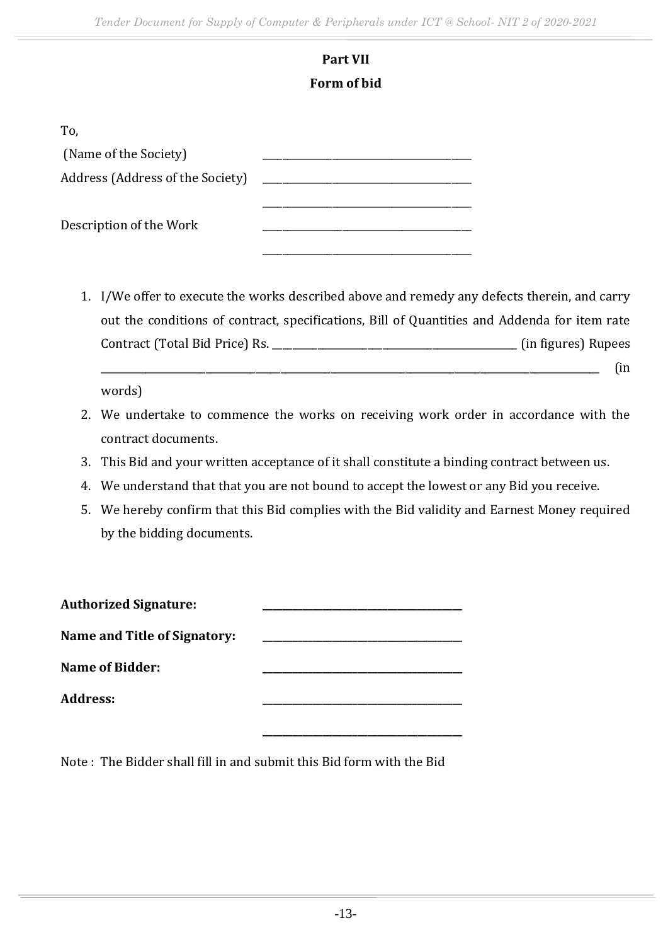### **Part VII Form of bid**

| To,                              |  |
|----------------------------------|--|
| (Name of the Society)            |  |
| Address (Address of the Society) |  |
| Description of the Work          |  |

1. I/We offer to execute the works described above and remedy any defects therein, and carry out the conditions of contract, specifications, Bill of Quantities and Addenda for item rate Contract (Total Bid Price) Rs. \_\_\_\_\_\_\_\_\_\_\_\_\_\_\_\_\_\_\_\_\_\_\_\_\_\_\_\_\_\_\_\_\_\_\_\_\_\_\_\_\_\_\_\_\_\_\_\_\_ (in figures) Rupees

\_\_\_\_\_\_\_\_\_\_\_\_\_\_\_\_\_\_\_\_\_\_\_\_\_\_\_\_\_\_\_\_\_\_\_\_\_\_\_\_\_\_\_\_\_\_\_\_\_\_\_\_\_\_\_\_\_\_\_\_\_\_\_\_\_\_\_\_\_\_\_\_\_\_\_\_\_\_\_\_\_\_\_\_\_\_\_\_\_\_\_\_\_\_\_\_\_\_\_\_ (in

words)

- 2. We undertake to commence the works on receiving work order in accordance with the contract documents.
- 3. This Bid and your written acceptance of it shall constitute a binding contract between us.
- 4. We understand that that you are not bound to accept the lowest or any Bid you receive.
- 5. We hereby confirm that this Bid complies with the Bid validity and Earnest Money required by the bidding documents.

| <b>Authorized Signature:</b>        |  |
|-------------------------------------|--|
| <b>Name and Title of Signatory:</b> |  |
| <b>Name of Bidder:</b>              |  |
| <b>Address:</b>                     |  |
|                                     |  |

Note : The Bidder shall fill in and submit this Bid form with the Bid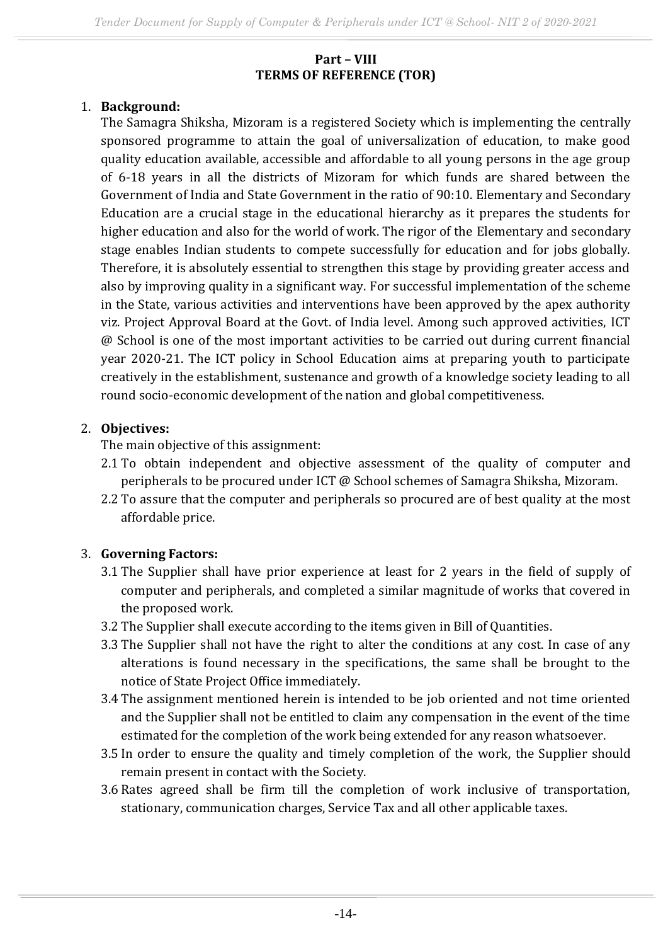#### **Part – VIII TERMS OF REFERENCE (TOR)**

### 1. **Background:**

The Samagra Shiksha, Mizoram is a registered Society which is implementing the centrally sponsored programme to attain the goal of universalization of education, to make good quality education available, accessible and affordable to all young persons in the age group of 6-18 years in all the districts of Mizoram for which funds are shared between the Government of India and State Government in the ratio of 90:10. Elementary and Secondary Education are a crucial stage in the educational hierarchy as it prepares the students for higher education and also for the world of work. The rigor of the Elementary and secondary stage enables Indian students to compete successfully for education and for jobs globally. Therefore, it is absolutely essential to strengthen this stage by providing greater access and also by improving quality in a significant way. For successful implementation of the scheme in the State, various activities and interventions have been approved by the apex authority viz. Project Approval Board at the Govt. of India level. Among such approved activities, ICT @ School is one of the most important activities to be carried out during current financial year 2020-21. The ICT policy in School Education aims at preparing youth to participate creatively in the establishment, sustenance and growth of a knowledge society leading to all round socio-economic development of the nation and global competitiveness.

### 2. **Objectives:**

The main objective of this assignment:

- 2.1 To obtain independent and objective assessment of the quality of computer and peripherals to be procured under ICT @ School schemes of Samagra Shiksha, Mizoram.
- 2.2 To assure that the computer and peripherals so procured are of best quality at the most affordable price.

### 3. **Governing Factors:**

- 3.1 The Supplier shall have prior experience at least for 2 years in the field of supply of computer and peripherals, and completed a similar magnitude of works that covered in the proposed work.
- 3.2 The Supplier shall execute according to the items given in Bill of Quantities.
- 3.3 The Supplier shall not have the right to alter the conditions at any cost. In case of any alterations is found necessary in the specifications, the same shall be brought to the notice of State Project Office immediately.
- 3.4 The assignment mentioned herein is intended to be job oriented and not time oriented and the Supplier shall not be entitled to claim any compensation in the event of the time estimated for the completion of the work being extended for any reason whatsoever.
- 3.5 In order to ensure the quality and timely completion of the work, the Supplier should remain present in contact with the Society.
- 3.6 Rates agreed shall be firm till the completion of work inclusive of transportation, stationary, communication charges, Service Tax and all other applicable taxes.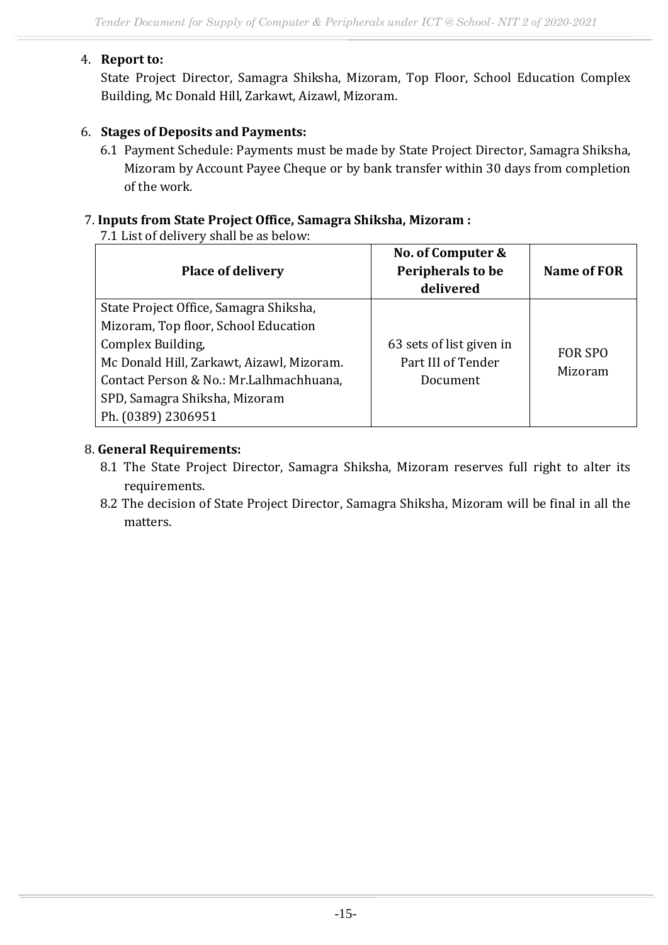### 4. **Report to:**

State Project Director, Samagra Shiksha, Mizoram, Top Floor, School Education Complex Building, Mc Donald Hill, Zarkawt, Aizawl, Mizoram.

### 6. **Stages of Deposits and Payments:**

6.1 Payment Schedule: Payments must be made by State Project Director, Samagra Shiksha, Mizoram by Account Payee Cheque or by bank transfer within 30 days from completion of the work.

#### 7. **Inputs from State Project Office, Samagra Shiksha, Mizoram :**

7.1 List of delivery shall be as below:

| <b>Place of delivery</b>                  | No. of Computer &<br>Peripherals to be<br>delivered | Name of FOR    |
|-------------------------------------------|-----------------------------------------------------|----------------|
| State Project Office, Samagra Shiksha,    |                                                     |                |
| Mizoram, Top floor, School Education      |                                                     |                |
| Complex Building,                         | 63 sets of list given in                            | <b>FOR SPO</b> |
| Mc Donald Hill, Zarkawt, Aizawl, Mizoram. | Part III of Tender                                  | Mizoram        |
| Contact Person & No.: Mr.Lalhmachhuana,   | Document                                            |                |
| SPD, Samagra Shiksha, Mizoram             |                                                     |                |
| Ph. (0389) 2306951                        |                                                     |                |

#### 8. **General Requirements:**

- 8.1 The State Project Director, Samagra Shiksha, Mizoram reserves full right to alter its requirements.
- 8.2 The decision of State Project Director, Samagra Shiksha, Mizoram will be final in all the matters.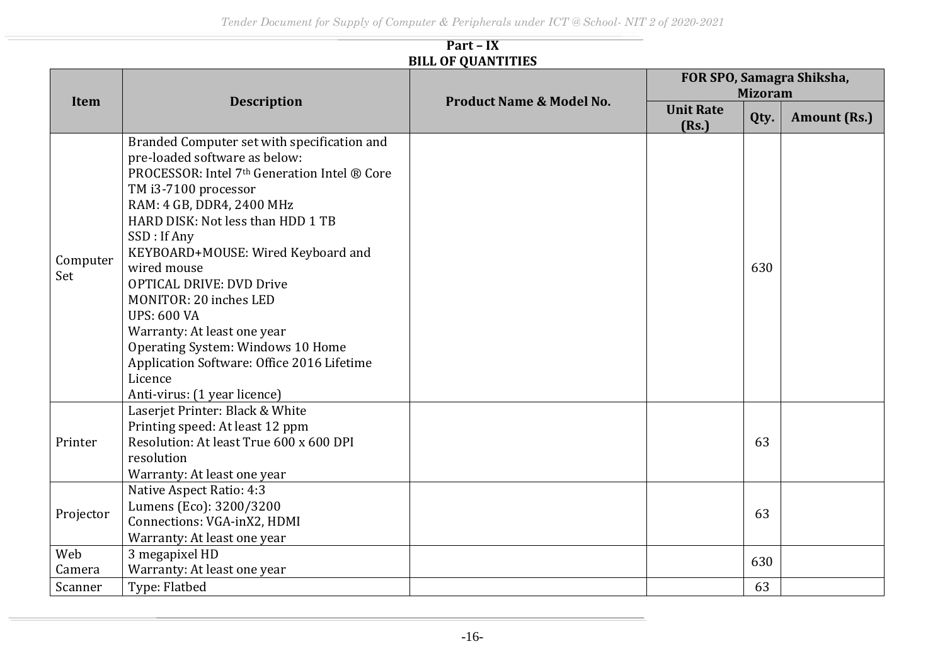#### **Part – IX BILL OF QUANTITIES**

|                 | <b>Description</b>                                                                                                                                                                                                                                                                                                                                                                                                                                                                                                                         | <b>Product Name &amp; Model No.</b> | FOR SPO, Samagra Shiksha,<br><b>Mizoram</b> |      |                     |
|-----------------|--------------------------------------------------------------------------------------------------------------------------------------------------------------------------------------------------------------------------------------------------------------------------------------------------------------------------------------------------------------------------------------------------------------------------------------------------------------------------------------------------------------------------------------------|-------------------------------------|---------------------------------------------|------|---------------------|
| <b>Item</b>     |                                                                                                                                                                                                                                                                                                                                                                                                                                                                                                                                            |                                     | <b>Unit Rate</b><br>(Rs.)                   | Qty. | <b>Amount (Rs.)</b> |
| Computer<br>Set | Branded Computer set with specification and<br>pre-loaded software as below:<br>PROCESSOR: Intel 7th Generation Intel ® Core<br>TM i3-7100 processor<br>RAM: 4 GB, DDR4, 2400 MHz<br>HARD DISK: Not less than HDD 1 TB<br>SSD: If Any<br>KEYBOARD+MOUSE: Wired Keyboard and<br>wired mouse<br><b>OPTICAL DRIVE: DVD Drive</b><br>MONITOR: 20 inches LED<br><b>UPS: 600 VA</b><br>Warranty: At least one year<br>Operating System: Windows 10 Home<br>Application Software: Office 2016 Lifetime<br>Licence<br>Anti-virus: (1 year licence) |                                     |                                             | 630  |                     |
| Printer         | Laserjet Printer: Black & White<br>Printing speed: At least 12 ppm<br>Resolution: At least True 600 x 600 DPI<br>resolution<br>Warranty: At least one year                                                                                                                                                                                                                                                                                                                                                                                 |                                     |                                             | 63   |                     |
| Projector       | Native Aspect Ratio: 4:3<br>Lumens (Eco): 3200/3200<br>Connections: VGA-inX2, HDMI<br>Warranty: At least one year                                                                                                                                                                                                                                                                                                                                                                                                                          |                                     |                                             | 63   |                     |
| Web<br>Camera   | 3 megapixel HD<br>Warranty: At least one year                                                                                                                                                                                                                                                                                                                                                                                                                                                                                              |                                     |                                             | 630  |                     |
| Scanner         | Type: Flatbed                                                                                                                                                                                                                                                                                                                                                                                                                                                                                                                              |                                     |                                             | 63   |                     |